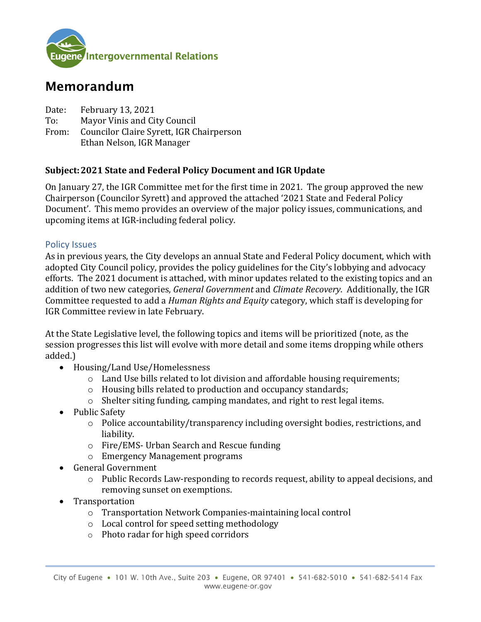

# Memorandum

Date: February 13, 2021<br>To: Mayor Vinis and Ci

To: Mayor Vinis and City Council<br>From: Councilor Claire Svrett, IGR C

Councilor Claire Syrett, IGR Chairperson Ethan Nelson, IGR Manager

## **Subject:2021 State and Federal Policy Document and IGR Update**

On January 27, the IGR Committee met for the first time in 2021. The group approved the new Chairperson (Councilor Syrett) and approved the attached '2021 State and Federal Policy Document'. This memo provides an overview of the major policy issues, communications, and upcoming items at IGR-including federal policy.

#### Policy Issues

As in previous years, the City develops an annual State and Federal Policy document, which with adopted City Council policy, provides the policy guidelines for the City's lobbying and advocacy efforts. The 2021 document is attached, with minor updates related to the existing topics and an addition of two new categories, *General Government* and *Climate Recovery*. Additionally, the IGR Committee requested to add a *Human Rights and Equity* category, which staff is developing for IGR Committee review in late February.

At the State Legislative level, the following topics and items will be prioritized (note, as the session progresses this list will evolve with more detail and some items dropping while others added.)

- Housing/Land Use/Homelessness
	- o Land Use bills related to lot division and affordable housing requirements;
	- o Housing bills related to production and occupancy standards;
	- $\circ$  Shelter siting funding, camping mandates, and right to rest legal items.
- Public Safety
	- o Police accountability/transparency including oversight bodies, restrictions, and liability.
	- o Fire/EMS- Urban Search and Rescue funding
	- o Emergency Management programs
- General Government
	- o Public Records Law-responding to records request, ability to appeal decisions, and removing sunset on exemptions.
- Transportation
	- o Transportation Network Companies-maintaining local control
	- o Local control for speed setting methodology
	- o Photo radar for high speed corridors